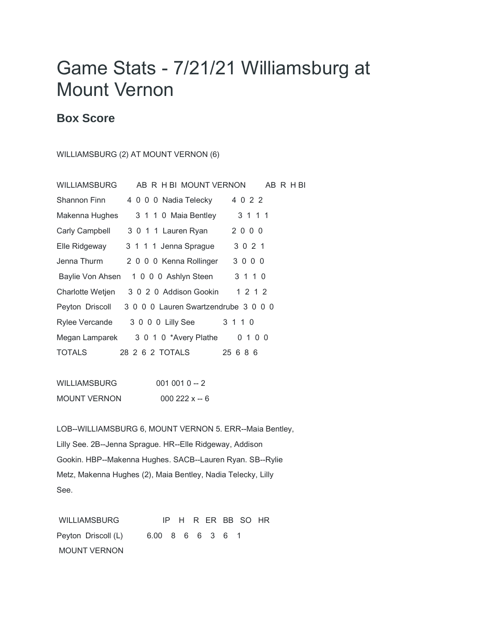## Game Stats - 7/21/21 Williamsburg at Mount Vernon

## **Box Score**

## WILLIAMSBURG (2) AT MOUNT VERNON (6)

| <b>WILLIAMSBURG</b> | AB R H BI MOUNT VERNON                | AB R H BI |
|---------------------|---------------------------------------|-----------|
| <b>Shannon Finn</b> | 4 0 0 0 Nadia Telecky                 | 4 0 2 2   |
| Makenna Hughes      | 3 1 1 0 Maia Bentley                  | 3 1 1 1   |
| Carly Campbell      | 3 0 1 1 Lauren Ryan                   | 2000      |
| Elle Ridgeway       | 3 1 1 1 Jenna Sprague                 | 3 0 2 1   |
| Jenna Thurm         | 2 0 0 0 Kenna Rollinger               | 3000      |
|                     | Baylie Von Ahsen 1 0 0 0 Ashlyn Steen | 3 1 1 0   |
| Charlotte Wetjen    | 3 0 2 0 Addison Gookin                | 1 2 1 2   |
| Peyton Driscoll     | 3 0 0 0 Lauren Swartzendrube 3 0 0 0  |           |
| Rylee Vercande      | 3 0 0 0 Lilly See                     | 3 1 1 0   |
| Megan Lamparek      | 3 0 1 0 *Avery Plathe                 | 0 1 0 0   |
| TOTALS              | 28  2  6  2  TOTALS                   | 25 6 8 6  |

| WILLIAMSBURG        | $0010010 - 2$ |
|---------------------|---------------|
| <b>MOUNT VERNON</b> | $000222x - 6$ |

LOB--WILLIAMSBURG 6, MOUNT VERNON 5. ERR--Maia Bentley, Lilly See. 2B--Jenna Sprague. HR--Elle Ridgeway, Addison Gookin. HBP--Makenna Hughes. SACB--Lauren Ryan. SB--Rylie Metz, Makenna Hughes (2), Maia Bentley, Nadia Telecky, Lilly See.

WILLIAMSBURG IP H R ER BB SO HR Peyton Driscoll (L) 6.00 8 6 6 3 6 1 MOUNT VERNON